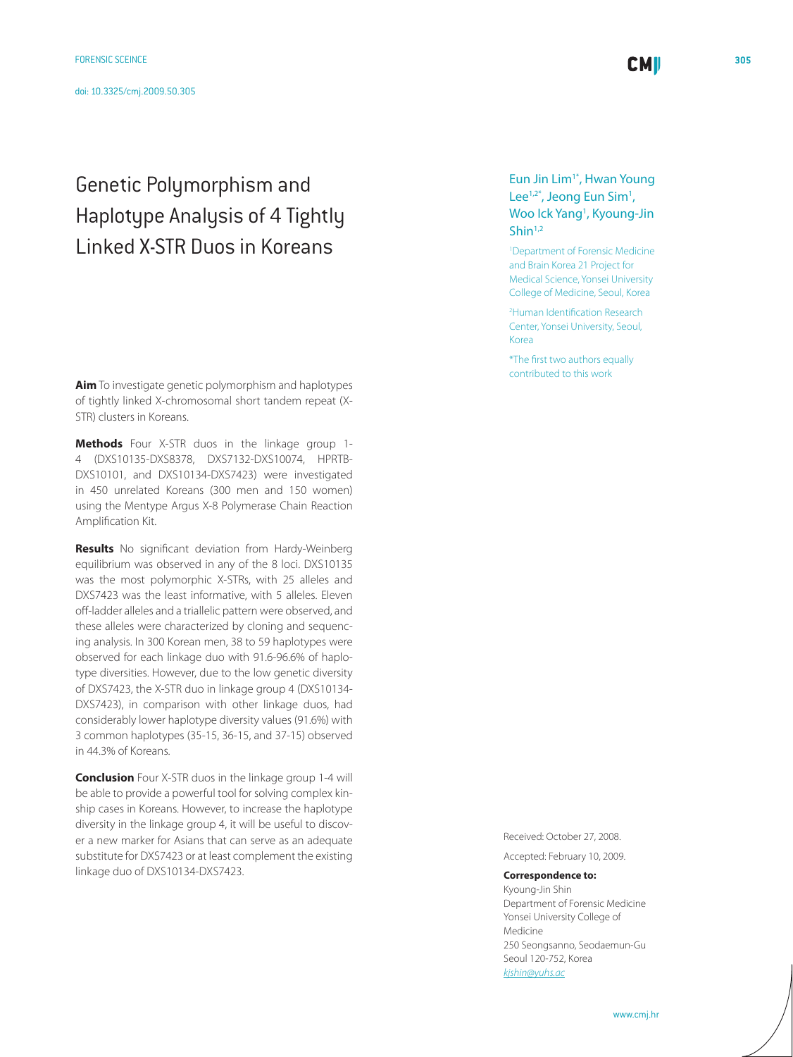# Genetic Polymorphism and Haplotype Analysis of 4 Tightly Linked X-STR Duos in Koreans

**Aim** To investigate genetic polymorphism and haplotypes of tightly linked X-chromosomal short tandem repeat (X-STR) clusters in Koreans.

**Methods** Four X-STR duos in the linkage group 1- 4 (DXS10135-DXS8378, DXS7132-DXS10074, HPRTB-DXS10101, and DXS10134-DXS7423) were investigated in 450 unrelated Koreans (300 men and 150 women) using the Mentype Argus X-8 Polymerase Chain Reaction Amplification Kit.

**Results** No significant deviation from Hardy-Weinberg equilibrium was observed in any of the 8 loci. DXS10135 was the most polymorphic X-STRs, with 25 alleles and DXS7423 was the least informative, with 5 alleles. Eleven off-ladder alleles and a triallelic pattern were observed, and these alleles were characterized by cloning and sequencing analysis. In 300 Korean men, 38 to 59 haplotypes were observed for each linkage duo with 91.6-96.6% of haplotype diversities. However, due to the low genetic diversity of DXS7423, the X-STR duo in linkage group 4 (DXS10134- DXS7423), in comparison with other linkage duos, had considerably lower haplotype diversity values (91.6%) with 3 common haplotypes (35-15, 36-15, and 37-15) observed in 44.3% of Koreans.

**Conclusion** Four X-STR duos in the linkage group 1-4 will be able to provide a powerful tool for solving complex kinship cases in Koreans. However, to increase the haplotype diversity in the linkage group 4, it will be useful to discover a new marker for Asians that can serve as an adequate substitute for DXS7423 or at least complement the existing linkage duo of DXS10134-DXS7423.

Eun Jin Lim1\*, Hwan Young Lee<sup>1,2\*</sup>, Jeong Eun Sim<sup>1</sup>, Woo Ick Yang<sup>1</sup>, Kyoung-Jin Shin<sup>1,2</sup>

**CMI** 

1 Department of Forensic Medicine and Brain Korea 21 Project for Medical Science, Yonsei University College of Medicine, Seoul, Korea

2 Human Identification Research Center, Yonsei University, Seoul, Korea

\*The first two authors equally contributed to this work

Received: October 27, 2008.

Accepted: February 10, 2009.

**Correspondence to:**

Kyoung-Jin Shin Department of Forensic Medicine Yonsei University College of Medicine 250 Seongsanno, Seodaemun-Gu Seoul 120-752, Korea *[kjshin@yuhs.ac](mailto: kjshin@yuhs.ac )*

www.cmj.hr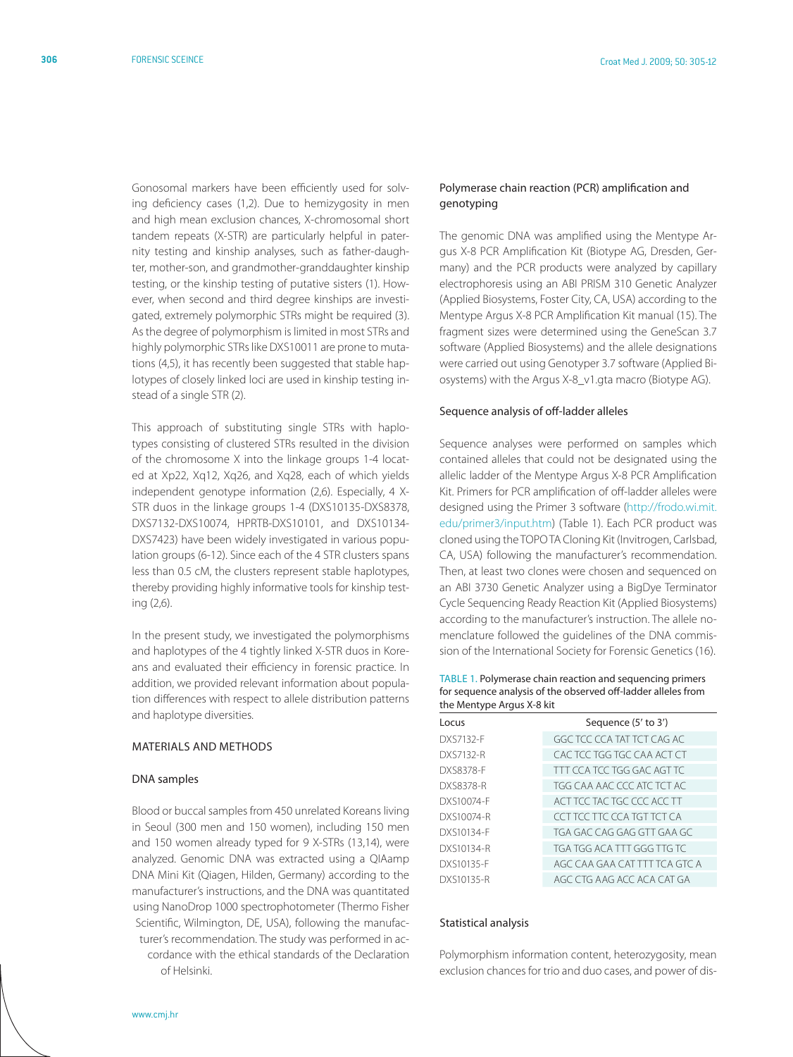Gonosomal markers have been efficiently used for solving deficiency cases (1,2). Due to hemizygosity in men and high mean exclusion chances, X-chromosomal short tandem repeats (X-STR) are particularly helpful in paternity testing and kinship analyses, such as father-daughter, mother-son, and grandmother-granddaughter kinship testing, or the kinship testing of putative sisters (1). However, when second and third degree kinships are investigated, extremely polymorphic STRs might be required (3). As the degree of polymorphism is limited in most STRs and highly polymorphic STRs like DXS10011 are prone to mutations (4,5), it has recently been suggested that stable haplotypes of closely linked loci are used in kinship testing instead of a single STR (2).

This approach of substituting single STRs with haplotypes consisting of clustered STRs resulted in the division of the chromosome X into the linkage groups 1-4 located at Xp22, Xq12, Xq26, and Xq28, each of which yields independent genotype information (2,6). Especially, 4 X-STR duos in the linkage groups 1-4 (DXS10135-DXS8378, DXS7132-DXS10074, HPRTB-DXS10101, and DXS10134- DXS7423) have been widely investigated in various population groups (6-12). Since each of the 4 STR clusters spans less than 0.5 cM, the clusters represent stable haplotypes, thereby providing highly informative tools for kinship testing (2,6).

In the present study, we investigated the polymorphisms and haplotypes of the 4 tightly linked X-STR duos in Koreans and evaluated their efficiency in forensic practice. In addition, we provided relevant information about population differences with respect to allele distribution patterns and haplotype diversities.

## Materials and methods

#### DNA samples

Blood or buccal samples from 450 unrelated Koreans living in Seoul (300 men and 150 women), including 150 men and 150 women already typed for 9 X-STRs (13,14), were analyzed. Genomic DNA was extracted using a QIAamp DNA Mini Kit (Qiagen, Hilden, Germany) according to the manufacturer's instructions, and the DNA was quantitated using NanoDrop 1000 spectrophotometer (Thermo Fisher Scientific, Wilmington, DE, USA), following the manufacturer's recommendation. The study was performed in accordance with the ethical standards of the Declaration of Helsinki.

# Polymerase chain reaction (PCR) amplification and genotyping

The genomic DNA was amplified using the Mentype Argus X-8 PCR Amplification Kit (Biotype AG, Dresden, Germany) and the PCR products were analyzed by capillary electrophoresis using an ABI PRISM 310 Genetic Analyzer (Applied Biosystems, Foster City, CA, USA) according to the Mentype Argus X-8 PCR Amplification Kit manual (15). The fragment sizes were determined using the GeneScan 3.7 software (Applied Biosystems) and the allele designations were carried out using Genotyper 3.7 software (Applied Biosystems) with the Argus X-8\_v1.gta macro (Biotype AG).

#### Sequence analysis of off-ladder alleles

Sequence analyses were performed on samples which contained alleles that could not be designated using the allelic ladder of the Mentype Argus X-8 PCR Amplification Kit. Primers for PCR amplification of off-ladder alleles were designed using the Primer 3 software ([http://frodo.wi.mit.](http://frodo.wi.mit.edu/primer3/input.htm) [edu/primer3/input.htm\)](http://frodo.wi.mit.edu/primer3/input.htm) (Table 1). Each PCR product was cloned using the TOPO TA Cloning Kit (Invitrogen, Carlsbad, CA, USA) following the manufacturer's recommendation. Then, at least two clones were chosen and sequenced on an ABI 3730 Genetic Analyzer using a BigDye Terminator Cycle Sequencing Ready Reaction Kit (Applied Biosystems) according to the manufacturer's instruction. The allele nomenclature followed the guidelines of the DNA commission of the International Society for Forensic Genetics (16).

Table 1. Polymerase chain reaction and sequencing primers for sequence analysis of the observed off-ladder alleles from the Mentype Argus X-8 kit

| Sequence (5' to 3')           |
|-------------------------------|
| GGC TCC CCA TAT TCT CAG AC    |
| CAC TCC TGG TGC CAA ACT CT    |
| TTT CCA TCC TGG GAC AGT TC    |
| TGG CAA AAC CCC ATC TCT AC    |
| ACT TCC TAC TGC CCC ACC TT    |
| CCT TCC TTC CCA TGT TCT CA    |
| TGA GAC CAG GAG GTT GAA GC    |
| TGA TGG ACA TTT GGG TTG TC    |
| AGC CAA GAA CAT TTT TCA GTC A |
| AGC CTG AAG ACC ACA CAT GA    |
|                               |

#### Statistical analysis

Polymorphism information content, heterozygosity, mean exclusion chances for trio and duo cases, and power of dis-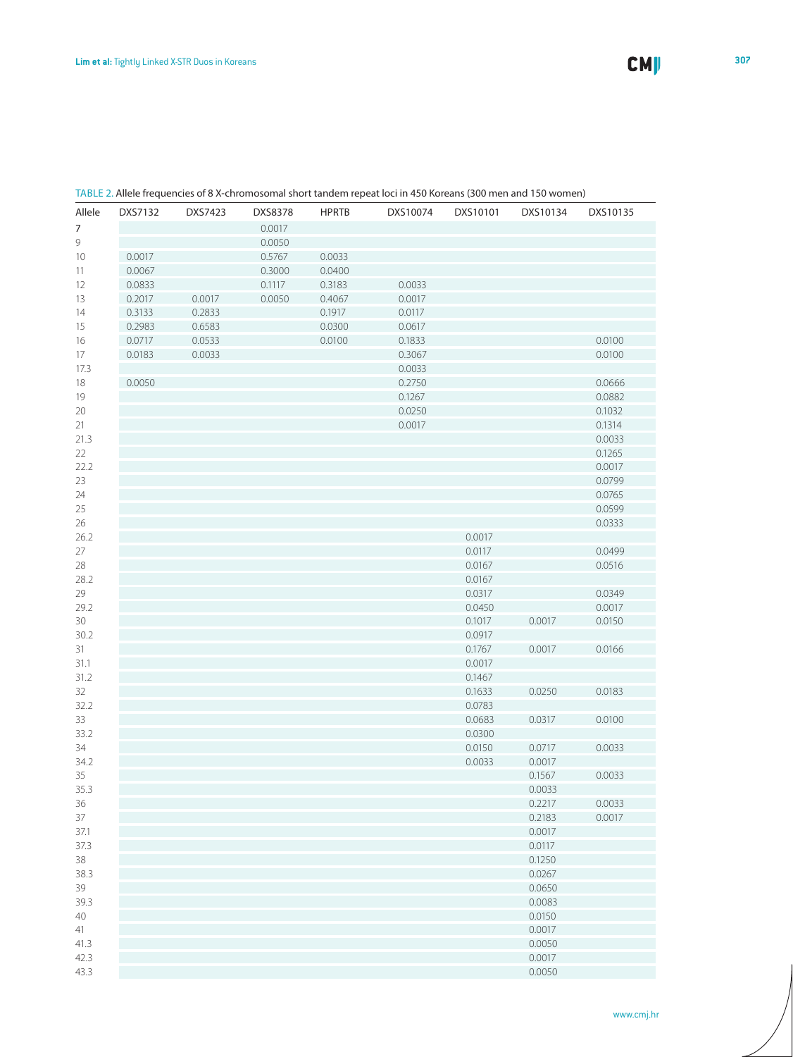| Allele     | DXS7132 | DXS7423 | DXS8378 | <b>HPRTB</b> | DXS10074 | DXS10101         | DXS10134         | DXS10135 |
|------------|---------|---------|---------|--------------|----------|------------------|------------------|----------|
| 7          |         |         | 0.0017  |              |          |                  |                  |          |
| 9          |         |         | 0.0050  |              |          |                  |                  |          |
| 10         | 0.0017  |         | 0.5767  | 0.0033       |          |                  |                  |          |
| 11         | 0.0067  |         | 0.3000  | 0.0400       |          |                  |                  |          |
| 12         | 0.0833  |         | 0.1117  | 0.3183       | 0.0033   |                  |                  |          |
| 13         | 0.2017  | 0.0017  | 0.0050  | 0.4067       | 0.0017   |                  |                  |          |
| 14         | 0.3133  | 0.2833  |         | 0.1917       | 0.0117   |                  |                  |          |
| 15         | 0.2983  | 0.6583  |         | 0.0300       | 0.0617   |                  |                  |          |
| 16         | 0.0717  | 0.0533  |         | 0.0100       | 0.1833   |                  |                  | 0.0100   |
| 17         | 0.0183  | 0.0033  |         |              | 0.3067   |                  |                  | 0.0100   |
| 17.3       |         |         |         |              | 0.0033   |                  |                  |          |
| 18         | 0.0050  |         |         |              | 0.2750   |                  |                  | 0.0666   |
| 19         |         |         |         |              | 0.1267   |                  |                  | 0.0882   |
| 20         |         |         |         |              | 0.0250   |                  |                  | 0.1032   |
| 21         |         |         |         |              | 0.0017   |                  |                  | 0.1314   |
| 21.3       |         |         |         |              |          |                  |                  | 0.0033   |
| 22         |         |         |         |              |          |                  |                  | 0.1265   |
| 22.2       |         |         |         |              |          |                  |                  | 0.0017   |
| 23         |         |         |         |              |          |                  |                  | 0.0799   |
| 24         |         |         |         |              |          |                  |                  | 0.0765   |
| 25         |         |         |         |              |          |                  |                  | 0.0599   |
| 26         |         |         |         |              |          |                  |                  | 0.0333   |
| 26.2       |         |         |         |              |          | 0.0017           |                  |          |
| 27         |         |         |         |              |          | 0.0117           |                  | 0.0499   |
| 28         |         |         |         |              |          | 0.0167           |                  | 0.0516   |
| 28.2       |         |         |         |              |          | 0.0167           |                  |          |
| 29         |         |         |         |              |          | 0.0317           |                  | 0.0349   |
| 29.2       |         |         |         |              |          | 0.0450           |                  | 0.0017   |
| 30         |         |         |         |              |          | 0.1017           | 0.0017           | 0.0150   |
| 30.2       |         |         |         |              |          | 0.0917           |                  |          |
| 31         |         |         |         |              |          | 0.1767           | 0.0017           | 0.0166   |
| 31.1       |         |         |         |              |          | 0.0017           |                  |          |
| 31.2       |         |         |         |              |          | 0.1467           |                  |          |
| 32         |         |         |         |              |          | 0.1633           | 0.0250           | 0.0183   |
| 32.2       |         |         |         |              |          | 0.0783           |                  |          |
| 33         |         |         |         |              |          | 0.0683           | 0.0317           | 0.0100   |
| 33.2       |         |         |         |              |          | 0.0300           | 0.0717           | 0.0033   |
| 34<br>34.2 |         |         |         |              |          | 0.0150<br>0.0033 |                  |          |
| 35         |         |         |         |              |          |                  | 0.0017<br>0.1567 | 0.0033   |
| 35.3       |         |         |         |              |          |                  | 0.0033           |          |
| 36         |         |         |         |              |          |                  | 0.2217           | 0.0033   |
| 37         |         |         |         |              |          |                  | 0.2183           | 0.0017   |
| 37.1       |         |         |         |              |          |                  | 0.0017           |          |
| 37.3       |         |         |         |              |          |                  | 0.0117           |          |
| 38         |         |         |         |              |          |                  | 0.1250           |          |
| 38.3       |         |         |         |              |          |                  | 0.0267           |          |
| 39         |         |         |         |              |          |                  | 0.0650           |          |
| 39.3       |         |         |         |              |          |                  | 0.0083           |          |
| 40         |         |         |         |              |          |                  | 0.0150           |          |
| 41         |         |         |         |              |          |                  | 0.0017           |          |
| 41.3       |         |         |         |              |          |                  | 0.0050           |          |
| 42.3       |         |         |         |              |          |                  | 0.0017           |          |
| 43.3       |         |         |         |              |          |                  | 0.0050           |          |

#### Table 2. Allele frequencies of 8 X-chromosomal short tandem repeat loci in 450 Koreans (300 men and 150 women)

www.cmj.hr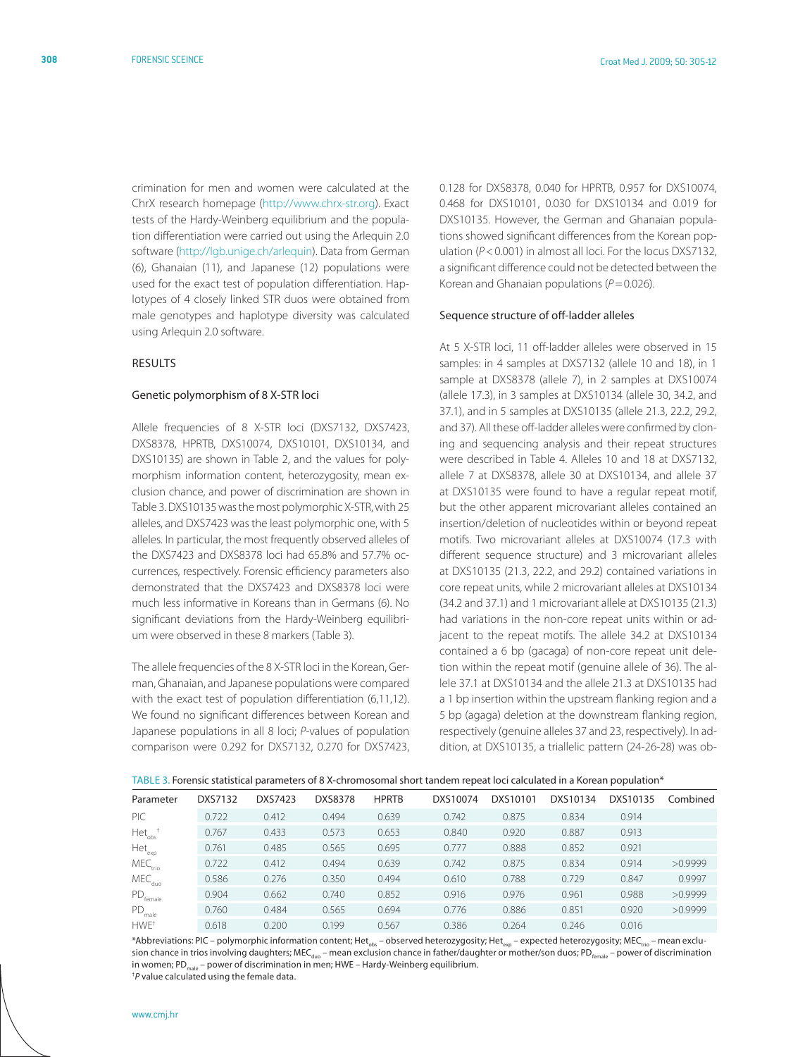crimination for men and women were calculated at the ChrX research homepage [\(http://www.chrx-str.org\)](http://www.chrx-str.org). Exact tests of the Hardy-Weinberg equilibrium and the population differentiation were carried out using the Arlequin 2.0 software ([http://lgb.unige.ch/arlequin\)](http://lgb.unige.ch/arlequin). Data from German (6), Ghanaian (11), and Japanese (12) populations were used for the exact test of population differentiation. Haplotypes of 4 closely linked STR duos were obtained from male genotypes and haplotype diversity was calculated using Arlequin 2.0 software.

## **RESULTS**

#### Genetic polymorphism of 8 X-STR loci

Allele frequencies of 8 X-STR loci (DXS7132, DXS7423, DXS8378, HPRTB, DXS10074, DXS10101, DXS10134, and DXS10135) are shown in Table 2, and the values for polymorphism information content, heterozygosity, mean exclusion chance, and power of discrimination are shown in Table 3. DXS10135 was the most polymorphic X-STR, with 25 alleles, and DXS7423 was the least polymorphic one, with 5 alleles. In particular, the most frequently observed alleles of the DXS7423 and DXS8378 loci had 65.8% and 57.7% occurrences, respectively. Forensic efficiency parameters also demonstrated that the DXS7423 and DXS8378 loci were much less informative in Koreans than in Germans (6). No significant deviations from the Hardy-Weinberg equilibrium were observed in these 8 markers (Table 3).

The allele frequencies of the 8 X-STR loci in the Korean, German, Ghanaian, and Japanese populations were compared with the exact test of population differentiation (6,11,12). We found no significant differences between Korean and Japanese populations in all 8 loci; *P*-values of population comparison were 0.292 for DXS7132, 0.270 for DXS7423,

0.128 for DXS8378, 0.040 for HPRTB, 0.957 for DXS10074, 0.468 for DXS10101, 0.030 for DXS10134 and 0.019 for DXS10135. However, the German and Ghanaian populations showed significant differences from the Korean population ( $P < 0.001$ ) in almost all loci. For the locus DXS7132, a significant difference could not be detected between the Korean and Ghanaian populations ( $P=0.026$ ).

#### Sequence structure of off-ladder alleles

At 5 X-STR loci, 11 off-ladder alleles were observed in 15 samples: in 4 samples at DXS7132 (allele 10 and 18), in 1 sample at DXS8378 (allele 7), in 2 samples at DXS10074 (allele 17.3), in 3 samples at DXS10134 (allele 30, 34.2, and 37.1), and in 5 samples at DXS10135 (allele 21.3, 22.2, 29.2, and 37). All these off-ladder alleles were confirmed by cloning and sequencing analysis and their repeat structures were described in Table 4. Alleles 10 and 18 at DXS7132, allele 7 at DXS8378, allele 30 at DXS10134, and allele 37 at DXS10135 were found to have a regular repeat motif, but the other apparent microvariant alleles contained an insertion/deletion of nucleotides within or beyond repeat motifs. Two microvariant alleles at DXS10074 (17.3 with different sequence structure) and 3 microvariant alleles at DXS10135 (21.3, 22.2, and 29.2) contained variations in core repeat units, while 2 microvariant alleles at DXS10134 (34.2 and 37.1) and 1 microvariant allele at DXS10135 (21.3) had variations in the non-core repeat units within or adjacent to the repeat motifs. The allele 34.2 at DXS10134 contained a 6 bp (gacaga) of non-core repeat unit deletion within the repeat motif (genuine allele of 36). The allele 37.1 at DXS10134 and the allele 21.3 at DXS10135 had a 1 bp insertion within the upstream flanking region and a 5 bp (agaga) deletion at the downstream flanking region, respectively (genuine alleles 37 and 23, respectively). In addition, at DXS10135, a triallelic pattern (24-26-28) was ob-

|  |  |  |  | TABLE 3. Forensic statistical parameters of 8 X-chromosomal short tandem repeat loci calculated in a Korean population* |
|--|--|--|--|-------------------------------------------------------------------------------------------------------------------------|
|--|--|--|--|-------------------------------------------------------------------------------------------------------------------------|

| Parameter                | DXS7132 | DXS7423 | <b>DXS8378</b> | <b>HPRTB</b> | DXS10074 | DXS10101 | DXS10134 | DXS10135 | Combined |
|--------------------------|---------|---------|----------------|--------------|----------|----------|----------|----------|----------|
| PIC                      | 0.722   | 0.412   | 0.494          | 0.639        | 0.742    | 0.875    | 0.834    | 0.914    |          |
| $Het_{\mathrm{obs}}$     | 0.767   | 0.433   | 0.573          | 0.653        | 0.840    | 0.920    | 0.887    | 0.913    |          |
| $\mathsf{Het}_{\sf exp}$ | 0.761   | 0.485   | 0.565          | 0.695        | 0.777    | 0.888    | 0.852    | 0.921    |          |
| MEC <sub>trio</sub>      | 0.722   | 0.412   | 0.494          | 0.639        | 0.742    | 0.875    | 0.834    | 0.914    | >0.9999  |
| $MEC_{\text{duo}}$       | 0.586   | 0.276   | 0.350          | 0.494        | 0.610    | 0.788    | 0.729    | 0.847    | 0.9997   |
| $D_{\text{female}}$      | 0.904   | 0.662   | 0.740          | 0.852        | 0.916    | 0.976    | 0.961    | 0.988    | >0.9999  |
| $PD_{male}$              | 0.760   | 0.484   | 0.565          | 0.694        | 0.776    | 0.886    | 0.851    | 0.920    | >0.9999  |
| HWE <sup>+</sup>         | 0.618   | 0.200   | 0.199          | 0.567        | 0.386    | 0.264    | 0.246    | 0.016    |          |

\*Abbreviations: PIC – polymorphic information content; Het<sub>ax</sub> – observed heterozygosity; Het<sub>ax</sub> – expected heterozygosity; MEC<sub>trio</sub> – mean exclusion chance in trios involving daughters; MEC<sub>duo</sub> – mean exclusion chance in father/daughter or mother/son duos; PD<sub>female</sub> – power of discrimination in women; PD<sub>male</sub> – power of discrimination in men; HWE – Hardy-Weinberg equilibrium. † *P* value calculated using the female data.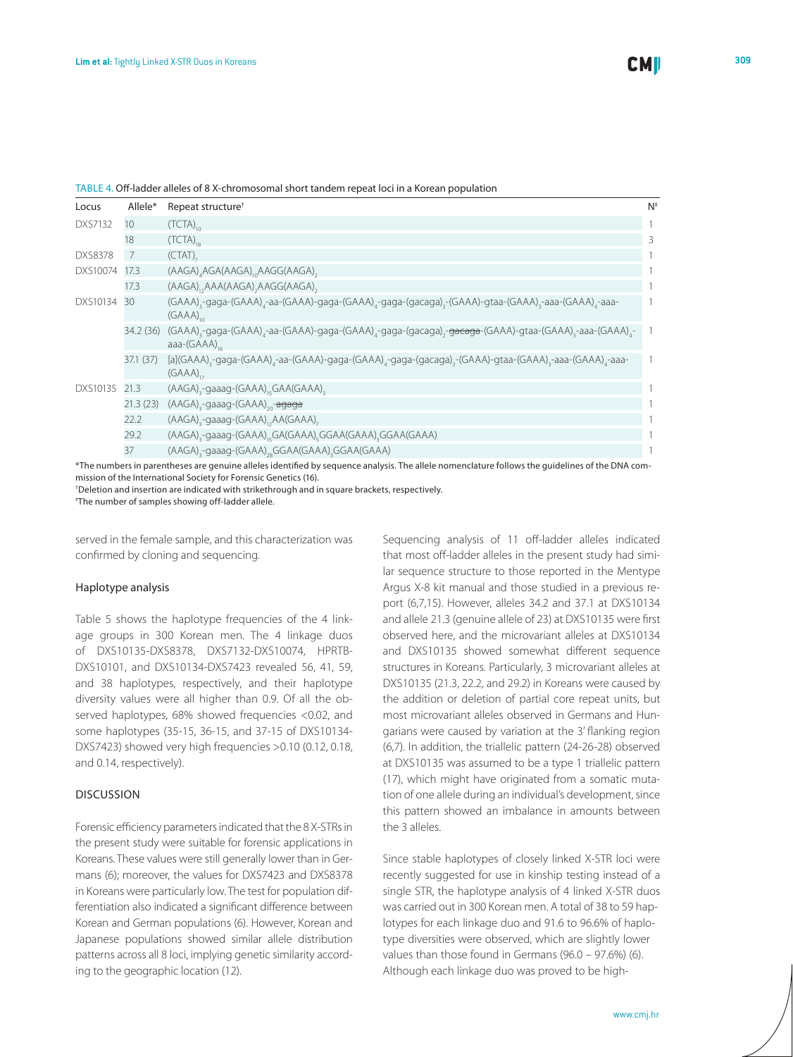| Locus          | Allele*   | Repeat structure <sup>†</sup>                                                                                                                                                                          | $N^*$ |
|----------------|-----------|--------------------------------------------------------------------------------------------------------------------------------------------------------------------------------------------------------|-------|
| <b>DXS7132</b> | 10        | $(TCTA)_{10}$                                                                                                                                                                                          |       |
|                | 18        | $(TCTA)_{18}$                                                                                                                                                                                          | 3     |
| <b>DXS8378</b> | 7         | (CTAT)                                                                                                                                                                                                 |       |
| DXS10074       | 17.3      | (AAGA), AGA(AAGA), AAGG(AAGA),                                                                                                                                                                         |       |
|                | 17.3      | (AAGA), AAA(AAGA), AAGG(AAGA),                                                                                                                                                                         |       |
| DXS10134       | 30        | (GAAA) <sub>3</sub> -gaga-(GAAA) <sub>4</sub> -aa-(GAAA)-gaga-(GAAA) <sub>4</sub> -gaga-(gacaga) <sub>3</sub> -(GAAA)-gtaa-(GAAA) <sub>3</sub> -aaa-(GAAA) <sub>4</sub> -aaa-<br>$(GAAA)_{\alpha}$     |       |
|                | 34.2 (36) | (GAAA) <sub>3</sub> -gaga-(GAAA) <sub>4</sub> -aa-(GAAA)-gaga-(GAAA) <sub>4</sub> -gaga-(gacaga),- <del>gacaga</del> -(GAAA)-gtaa-(GAAA) <sub>3</sub> -aaa-(GAAA) <sub>4</sub> -<br>aaa- $(GAAA)_{16}$ |       |
|                | 37.1 (37) | [a](GAAA) <sub>3</sub> -gaga-(GAAA) <sub>4</sub> -aa-(GAAA)-gaga-(GAAA) <sub>4</sub> -gaga-(gacaga) <sub>3</sub> -(GAAA)-gtaa-(GAAA) <sub>3</sub> -aaa-(GAAA) <sub>4</sub> -aaa-<br>$(GAAA)_{1}$       |       |
| DXS10135       | 21.3      | (AAGA) <sub>3</sub> -gaaag-(GAAA) <sub>15</sub> GAA(GAAA) <sub>3</sub>                                                                                                                                 |       |
|                | 21.3(23)  | (AAGA) <sub>3</sub> -gaaag-(GAAA) <sub>20</sub> - <del>agaga</del>                                                                                                                                     |       |
|                | 22.2      | (AAGA),-gaaag-(GAAA),,AA(GAAA),                                                                                                                                                                        |       |
|                | 29.2      | (AAGA) <sub>3</sub> -gaaag-(GAAA) <sub>15</sub> GA(GAAA) <sub>5</sub> GGAA(GAAA) <sub>3</sub> GGAA(GAAA)                                                                                               |       |
|                | 37        | (AAGA),-gaaag-(GAAA),,GGAA(GAAA),GGAA(GAAA)                                                                                                                                                            |       |

#### Table 4. Off-ladder alleles of 8 X-chromosomal short tandem repeat loci in a Korean population

\*The numbers in parentheses are genuine alleles identified by sequence analysis. The allele nomenclature follows the guidelines of the DNA commission of the International Society for Forensic Genetics (16).

† Deletion and insertion are indicated with strikethrough and in square brackets, respectively.

‡ The number of samples showing off-ladder allele.

served in the female sample, and this characterization was confirmed by cloning and sequencing.

#### Haplotype analysis

Table 5 shows the haplotype frequencies of the 4 linkage groups in 300 Korean men. The 4 linkage duos of DXS10135-DXS8378, DXS7132-DXS10074, HPRTB-DXS10101, and DXS10134-DXS7423 revealed 56, 41, 59, and 38 haplotypes, respectively, and their haplotype diversity values were all higher than 0.9. Of all the observed haplotypes, 68% showed frequencies <0.02, and some haplotypes (35-15, 36-15, and 37-15 of DXS10134- DXS7423) showed very high frequencies >0.10 (0.12, 0.18, and 0.14, respectively).

# Discussion

Forensic efficiency parameters indicated that the 8 X-STRs in the present study were suitable for forensic applications in Koreans. These values were still generally lower than in Germans (6); moreover, the values for DXS7423 and DXS8378 in Koreans were particularly low. The test for population differentiation also indicated a significant difference between Korean and German populations (6). However, Korean and Japanese populations showed similar allele distribution patterns across all 8 loci, implying genetic similarity according to the geographic location (12).

Sequencing analysis of 11 off-ladder alleles indicated that most off-ladder alleles in the present study had similar sequence structure to those reported in the Mentype Argus X-8 kit manual and those studied in a previous report (6,7,15). However, alleles 34.2 and 37.1 at DXS10134 and allele 21.3 (genuine allele of 23) at DXS10135 were first observed here, and the microvariant alleles at DXS10134 and DXS10135 showed somewhat different sequence structures in Koreans. Particularly, 3 microvariant alleles at DXS10135 (21.3, 22.2, and 29.2) in Koreans were caused by the addition or deletion of partial core repeat units, but most microvariant alleles observed in Germans and Hungarians were caused by variation at the 3' flanking region (6,7). In addition, the triallelic pattern (24-26-28) observed at DXS10135 was assumed to be a type 1 triallelic pattern (17), which might have originated from a somatic mutation of one allele during an individual's development, since this pattern showed an imbalance in amounts between the 3 alleles.

Since stable haplotypes of closely linked X-STR loci were recently suggested for use in kinship testing instead of a single STR, the haplotype analysis of 4 linked X-STR duos was carried out in 300 Korean men. A total of 38 to 59 haplotypes for each linkage duo and 91.6 to 96.6% of haplotype diversities were observed, which are slightly lower values than those found in Germans (96.0 – 97.6%) (6). Although each linkage duo was proved to be high-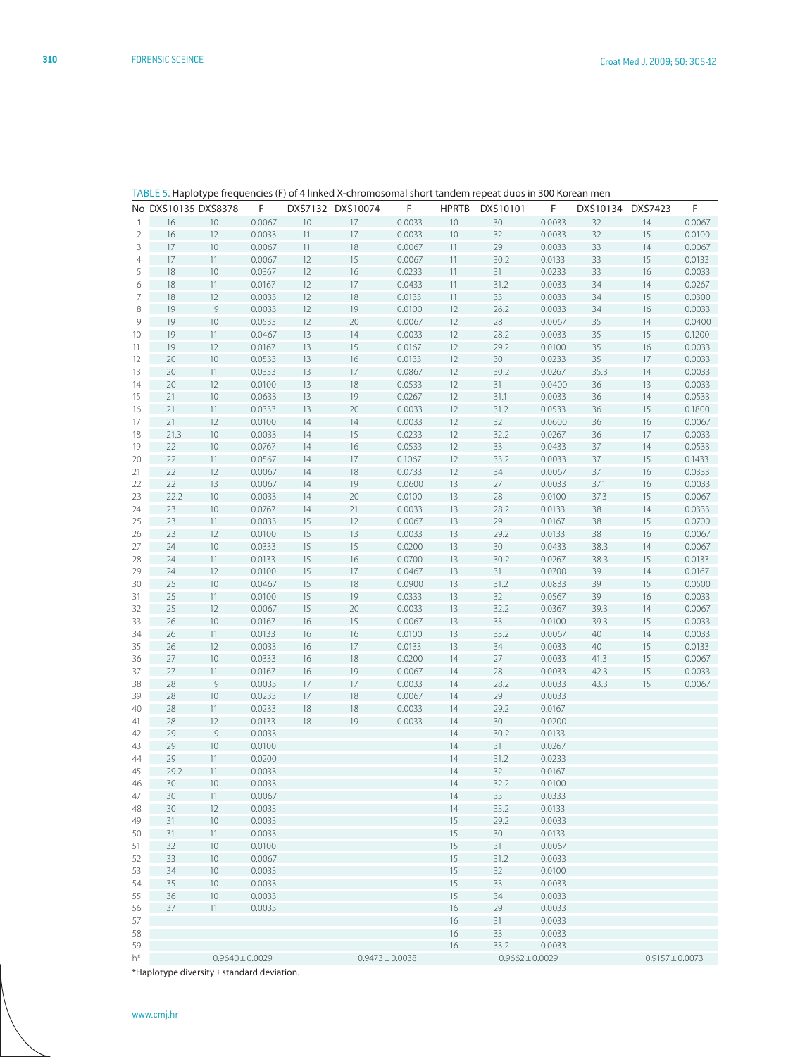| 1  | 16   | 10            | 0.0067 | 10 | 17 | 0.0033 | 10 | 30     | 0.0033 | 32   | 14 | 0.0067 |
|----|------|---------------|--------|----|----|--------|----|--------|--------|------|----|--------|
| 2  | 16   | 12            | 0.0033 | 11 | 17 | 0.0033 | 10 | 32     | 0.0033 | 32   | 15 | 0.0100 |
| 3  | 17   | 10            | 0.0067 | 11 | 18 | 0.0067 | 11 | 29     | 0.0033 | 33   | 14 | 0.0067 |
| 4  | 17   | 11            | 0.0067 | 12 | 15 | 0.0067 | 11 | 30.2   | 0.0133 | 33   | 15 | 0.0133 |
| 5  | 18   | 10            | 0.0367 | 12 | 16 | 0.0233 | 11 | 31     | 0.0233 | 33   | 16 | 0.0033 |
| 6  | 18   | 11            | 0.0167 | 12 | 17 | 0.0433 | 11 | 31.2   | 0.0033 | 34   | 14 | 0.0267 |
| 7  | 18   | 12            | 0.0033 | 12 | 18 | 0.0133 | 11 | 33     | 0.0033 | 34   | 15 | 0.0300 |
| 8  | 19   | 9             | 0.0033 | 12 | 19 | 0.0100 | 12 | 26.2   | 0.0033 | 34   | 16 | 0.0033 |
|    |      |               |        |    |    |        |    |        |        |      |    |        |
| 9  | 19   | $10$          | 0.0533 | 12 | 20 | 0.0067 | 12 | 28     | 0.0067 | 35   | 14 | 0.0400 |
| 10 | 19   | 11            | 0.0467 | 13 | 14 | 0.0033 | 12 | 28.2   | 0.0033 | 35   | 15 | 0.1200 |
| 11 | 19   | 12            | 0.0167 | 13 | 15 | 0.0167 | 12 | 29.2   | 0.0100 | 35   | 16 | 0.0033 |
| 12 | 20   | 10            | 0.0533 | 13 | 16 | 0.0133 | 12 | 30     | 0.0233 | 35   | 17 | 0.0033 |
| 13 | 20   | 11            | 0.0333 | 13 | 17 | 0.0867 | 12 | 30.2   | 0.0267 | 35.3 | 14 | 0.0033 |
| 14 | 20   | 12            | 0.0100 | 13 | 18 | 0.0533 | 12 | 31     | 0.0400 | 36   | 13 | 0.0033 |
| 15 | 21   | $10$          | 0.0633 | 13 | 19 | 0.0267 | 12 | 31.1   | 0.0033 | 36   | 14 | 0.0533 |
| 16 | 21   | 11            | 0.0333 | 13 | 20 | 0.0033 | 12 | 31.2   | 0.0533 | 36   | 15 | 0.1800 |
| 17 | 21   | 12            | 0.0100 | 14 | 14 | 0.0033 | 12 | 32     | 0.0600 | 36   | 16 | 0.0067 |
| 18 | 21.3 | $10$          | 0.0033 | 14 | 15 | 0.0233 | 12 | 32.2   | 0.0267 | 36   | 17 | 0.0033 |
| 19 | 22   | $10$          | 0.0767 | 14 | 16 | 0.0533 | 12 | 33     | 0.0433 | 37   | 14 | 0.0533 |
| 20 | 22   | 11            | 0.0567 | 14 | 17 | 0.1067 | 12 | 33.2   | 0.0033 | 37   | 15 | 0.1433 |
|    |      |               |        |    |    | 0.0733 |    |        |        |      |    |        |
| 21 | 22   | 12            | 0.0067 | 14 | 18 |        | 12 | 34     | 0.0067 | 37   | 16 | 0.0333 |
| 22 | 22   | 13            | 0.0067 | 14 | 19 | 0.0600 | 13 | 27     | 0.0033 | 37.1 | 16 | 0.0033 |
| 23 | 22.2 | 10            | 0.0033 | 14 | 20 | 0.0100 | 13 | 28     | 0.0100 | 37.3 | 15 | 0.0067 |
| 24 | 23   | 10            | 0.0767 | 14 | 21 | 0.0033 | 13 | 28.2   | 0.0133 | 38   | 14 | 0.0333 |
| 25 | 23   | 11            | 0.0033 | 15 | 12 | 0.0067 | 13 | 29     | 0.0167 | 38   | 15 | 0.0700 |
| 26 | 23   | 12            | 0.0100 | 15 | 13 | 0.0033 | 13 | 29.2   | 0.0133 | 38   | 16 | 0.0067 |
| 27 | 24   | $10$          | 0.0333 | 15 | 15 | 0.0200 | 13 | $30\,$ | 0.0433 | 38.3 | 14 | 0.0067 |
| 28 | 24   | 11            | 0.0133 | 15 | 16 | 0.0700 | 13 | 30.2   | 0.0267 | 38.3 | 15 | 0.0133 |
| 29 | 24   | 12            | 0.0100 | 15 | 17 | 0.0467 | 13 | 31     | 0.0700 | 39   | 14 | 0.0167 |
| 30 | 25   | $10$          | 0.0467 | 15 | 18 | 0.0900 | 13 | 31.2   | 0.0833 | 39   | 15 | 0.0500 |
| 31 | 25   | 11            | 0.0100 | 15 | 19 | 0.0333 | 13 | 32     | 0.0567 | 39   | 16 | 0.0033 |
| 32 | 25   | 12            | 0.0067 | 15 | 20 | 0.0033 | 13 | 32.2   | 0.0367 | 39.3 | 14 | 0.0067 |
|    |      |               |        |    |    |        |    |        |        |      |    |        |
| 33 | 26   | $10$          | 0.0167 | 16 | 15 | 0.0067 | 13 | 33     | 0.0100 | 39.3 | 15 | 0.0033 |
| 34 | 26   | 11            | 0.0133 | 16 | 16 | 0.0100 | 13 | 33.2   | 0.0067 | 40   | 14 | 0.0033 |
| 35 | 26   | 12            | 0.0033 | 16 | 17 | 0.0133 | 13 | 34     | 0.0033 | 40   | 15 | 0.0133 |
| 36 | 27   | $10$          | 0.0333 | 16 | 18 | 0.0200 | 14 | 27     | 0.0033 | 41.3 | 15 | 0.0067 |
| 37 | 27   | 11            | 0.0167 | 16 | 19 | 0.0067 | 14 | 28     | 0.0033 | 42.3 | 15 | 0.0033 |
| 38 | 28   | $\mathcal{G}$ | 0.0033 | 17 | 17 | 0.0033 | 14 | 28.2   | 0.0033 | 43.3 | 15 | 0.0067 |
| 39 | 28   | $10$          | 0.0233 | 17 | 18 | 0.0067 | 14 | 29     | 0.0033 |      |    |        |
| 40 | 28   | 11            | 0.0233 | 18 | 18 | 0.0033 | 14 | 29.2   | 0.0167 |      |    |        |
| 41 | 28   | 12            | 0.0133 | 18 | 19 | 0.0033 | 14 | 30     | 0.0200 |      |    |        |
| 42 | 29   | $\mathcal{G}$ | 0.0033 |    |    |        | 14 | 30.2   | 0.0133 |      |    |        |
| 43 | 29   | $10$          | 0.0100 |    |    |        | 14 | 31     | 0.0267 |      |    |        |
| 44 | 29   | 11            | 0.0200 |    |    |        | 14 | 31.2   | 0.0233 |      |    |        |
|    |      |               |        |    |    |        |    |        |        |      |    |        |
| 45 | 29.2 | 11            | 0.0033 |    |    |        | 14 | 32     | 0.0167 |      |    |        |
| 46 | 30   | 10            | 0.0033 |    |    |        | 14 | 32.2   | 0.0100 |      |    |        |
| 47 | 30   | 11            | 0.0067 |    |    |        | 14 | 33     | 0.0333 |      |    |        |
| 48 | 30   | 12            | 0.0033 |    |    |        | 14 | 33.2   | 0.0133 |      |    |        |
| 49 | 31   | 10            | 0.0033 |    |    |        | 15 | 29.2   | 0.0033 |      |    |        |
| 50 | 31   | 11            | 0.0033 |    |    |        | 15 | 30     | 0.0133 |      |    |        |
| 51 | 32   | 10            | 0.0100 |    |    |        | 15 | 31     | 0.0067 |      |    |        |
| 52 | 33   | $10$          | 0.0067 |    |    |        | 15 | 31.2   | 0.0033 |      |    |        |
| 53 | 34   | 10            | 0.0033 |    |    |        | 15 | 32     | 0.0100 |      |    |        |
| 54 | 35   | $10$          | 0.0033 |    |    |        | 15 | 33     | 0.0033 |      |    |        |
| 55 | 36   | $10$          | 0.0033 |    |    |        | 15 | 34     | 0.0033 |      |    |        |
|    |      |               |        |    |    |        |    |        |        |      |    |        |
| 56 | 37   | 11            | 0.0033 |    |    |        | 16 | 29     | 0.0033 |      |    |        |
| 57 |      |               |        |    |    |        | 16 | 31     | 0.0033 |      |    |        |
| 58 |      |               |        |    |    |        | 16 | 33     | 0.0033 |      |    |        |
| 59 |      |               |        |    |    |        | 16 | 33.2   | 0.0033 |      |    |        |

h\* 0.9640±0.0029 0.9473±0.0038 0.9662±0.0029 0.9157±0.0073

# Table 5. Haplotype frequencies (F) of 4 linked X-chromosomal short tandem repeat duos in 300 Korean men

No DXS10135 DXS8378 F DXS7132 DXS10074 F HPRTB DXS10101 F DXS10134 DXS7423 F

\*Haplotype diversity±standard deviation.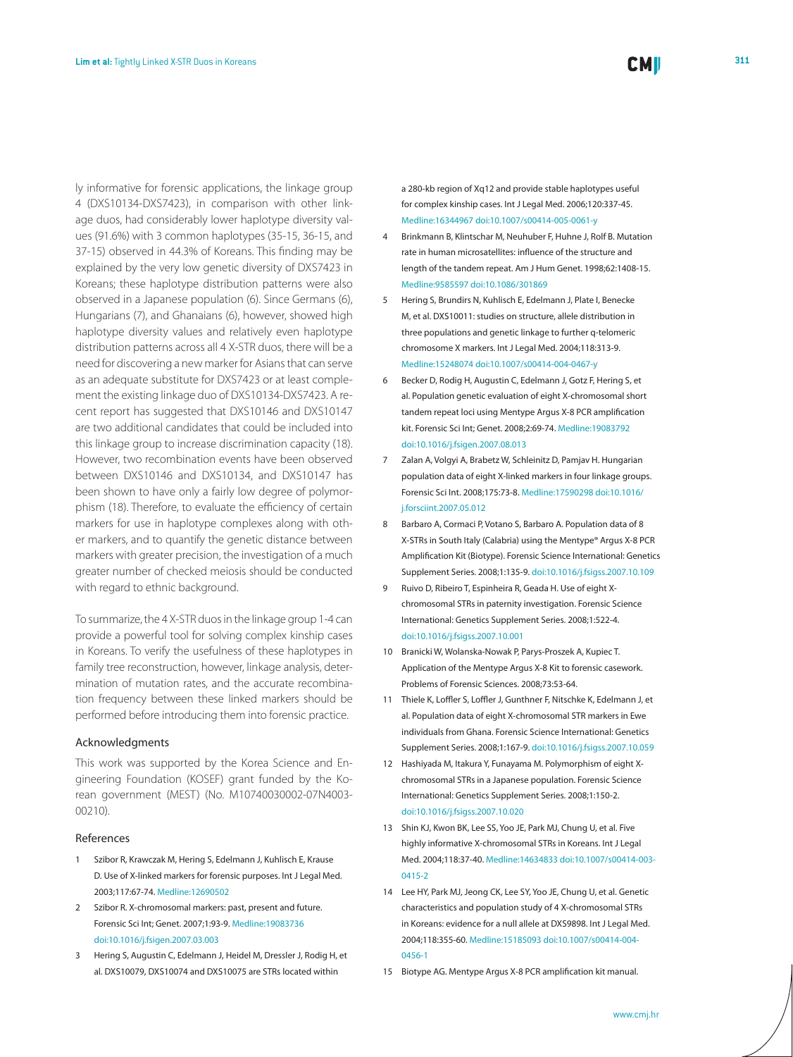ly informative for forensic applications, the linkage group 4 (DXS10134-DXS7423), in comparison with other linkage duos, had considerably lower haplotype diversity values (91.6%) with 3 common haplotypes (35-15, 36-15, and 37-15) observed in 44.3% of Koreans. This finding may be explained by the very low genetic diversity of DXS7423 in Koreans; these haplotype distribution patterns were also observed in a Japanese population (6). Since Germans (6), Hungarians (7), and Ghanaians (6), however, showed high haplotype diversity values and relatively even haplotype distribution patterns across all 4 X-STR duos, there will be a need for discovering a new marker for Asians that can serve as an adequate substitute for DXS7423 or at least complement the existing linkage duo of DXS10134-DXS7423. A recent report has suggested that DXS10146 and DXS10147 are two additional candidates that could be included into this linkage group to increase discrimination capacity (18). However, two recombination events have been observed between DXS10146 and DXS10134, and DXS10147 has been shown to have only a fairly low degree of polymorphism (18). Therefore, to evaluate the efficiency of certain markers for use in haplotype complexes along with other markers, and to quantify the genetic distance between

markers with greater precision, the investigation of a much greater number of checked meiosis should be conducted with regard to ethnic background.

To summarize, the 4 X-STR duos in the linkage group 1-4 can provide a powerful tool for solving complex kinship cases in Koreans. To verify the usefulness of these haplotypes in family tree reconstruction, however, linkage analysis, determination of mutation rates, and the accurate recombination frequency between these linked markers should be performed before introducing them into forensic practice.

#### Acknowledgments

This work was supported by the Korea Science and Engineering Foundation (KOSEF) grant funded by the Korean government (MEST) (No. M10740030002-07N4003- 00210).

## References

- 1 Szibor R, Krawczak M, Hering S, Edelmann J, Kuhlisch E, Krause D. Use of X-linked markers for forensic purposes. Int J Legal Med. 2003;117:67-74. [Medline:12690502](http://www.ncbi.nlm.nih.gov/sites/entrez?cmd=Retrieve&db=PubMed&list_uids=12690502&dopt=Abstrac)
- 2 Szibor R. X-chromosomal markers: past, present and future. Forensic Sci Int; Genet. 2007;1:93-9. [Medline:19083736](http://www.ncbi.nlm.nih.gov/sites/entrez?cmd=Retrieve&db=PubMed&list_uids=19083736&dopt=Abstrac) [doi:10.1016/j.fsigen.2007.03.003](http://dx.doi.org/10.1016/j.fs)
- 3 Hering S, Augustin C, Edelmann J, Heidel M, Dressler J, Rodig H, et al. DXS10079, DXS10074 and DXS10075 are STRs located within

a 280-kb region of Xq12 and provide stable haplotypes useful for complex kinship cases. Int J Legal Med. 2006;120:337-45[.](http://www.ncbi.nlm.nih.gov/sites/entrez?cmd=Retrieve&db=PubMed&list_uids=16344967&dopt=Abstrac) [Medline:16344967](http://www.ncbi.nlm.nih.gov/sites/entrez?cmd=Retrieve&db=PubMed&list_uids=16344967&dopt=Abstrac) [doi:10.1007/s00414-005-0061-y](http://dx.doi.org/10.1007/s00414-005-0061-y)

- 4 Brinkmann B, Klintschar M, Neuhuber F, Huhne J, Rolf B. Mutation rate in human microsatellites: influence of the structure and length of the tandem repeat. Am J Hum Genet. 1998;62:1408-15. [Medline:9585597](http://www.ncbi.nlm.nih.gov/sites/entrez?cmd=Retrieve&db=PubMed&list_uids=9585597&dopt=Abstrac) [doi:10.1086/301869](http://dx.doi.org/10.1086/301869)
- 5 Hering S, Brundirs N, Kuhlisch E, Edelmann J, Plate I, Benecke M, et al. DXS10011: studies on structure, allele distribution in three populations and genetic linkage to further q-telomeric chromosome X markers. Int J Legal Med. 2004;118:313-9[.](http://www.ncbi.nlm.nih.gov/sites/entrez?cmd=Retrieve&db=PubMed&list_uids=15248074&dopt=Abstrac) [Medline:15248074](http://www.ncbi.nlm.nih.gov/sites/entrez?cmd=Retrieve&db=PubMed&list_uids=15248074&dopt=Abstrac) [doi:10.1007/s00414-004-0467-y](http://dx.doi.org/10.1007/s00414-004-0467-y)
- 6 Becker D, Rodig H, Augustin C, Edelmann J, Gotz F, Hering S, et al. Population genetic evaluation of eight X-chromosomal short tandem repeat loci using Mentype Argus X-8 PCR amplification kit. Forensic Sci Int; Genet. 2008;2:69-74. [Medline:19083792](http://www.ncbi.nlm.nih.gov/sites/entrez?cmd=Retrieve&db=PubMed&list_uids=19083792&dopt=Abstrac) [doi:10.1016/j.fsigen.2007.08.013](http://dx.doi.org/10.1016/j.fsigen.2007.08.013)
- 7 Zalan A, Volgyi A, Brabetz W, Schleinitz D, Pamjav H. Hungarian population data of eight X-linked markers in four linkage groups. Forensic Sci Int. 2008;175:73-8[. Medline:17590298](http://www.ncbi.nlm.nih.gov/sites/entrez?cmd=Retrieve&db=PubMed&list_uids=17590298&dopt=Abstrac) [doi:10.1016/](http://dx.doi.org/10.1016/j.forsciint.2007.05.012) [j.forsciint.2007.05.012](http://dx.doi.org/10.1016/j.forsciint.2007.05.012)
- 8 Barbaro A, Cormaci P, Votano S, Barbaro A. Population data of 8 X-STRs in South Italy (Calabria) using the Mentype® Argus X-8 PCR Amplification Kit (Biotype). Forensic Science International: Genetics Supplement Series. 2008;1:135-9. [doi:10.1016/j.fsigss.2007.10.109](http://dx.doi.org/10.1016/j.fsigss.2007.10.109)
- 9 Ruivo D, Ribeiro T, Espinheira R, Geada H. Use of eight Xchromosomal STRs in paternity investigation. Forensic Science International: Genetics Supplement Series. 2008;1:522-4. [doi:10.1016/j.fsigss.2007.10.001](http://dx.doi.org/10.1016/j.fsigss.2007.10.001)
- 10 Branicki W, Wolanska-Nowak P, Parys-Proszek A, Kupiec T. Application of the Mentype Argus X-8 Kit to forensic casework. Problems of Forensic Sciences. 2008;73:53-64.
- 11 Thiele K, Loffler S, Loffler J, Gunthner F, Nitschke K, Edelmann J, et al. Population data of eight X-chromosomal STR markers in Ewe individuals from Ghana. Forensic Science International: Genetics Supplement Series. 2008;1:167-9. [doi:10.1016/j.fsigss.2007.10.059](http://dx.doi.org/10.1016/j.fsigss.2007.10.059)
- 12 Hashiyada M, Itakura Y, Funayama M. Polymorphism of eight Xchromosomal STRs in a Japanese population. Forensic Science International: Genetics Supplement Series. 2008;1:150-2. [doi:10.1016/j.fsigss.2007.10.020](http://dx.doi.org/10.1016/j.fsigss.2007.10.020)
- 13 Shin KJ, Kwon BK, Lee SS, Yoo JE, Park MJ, Chung U, et al. Five highly informative X-chromosomal STRs in Koreans. Int J Legal Med. 2004;118:37-40. [Medline:14634833](http://www.ncbi.nlm.nih.gov/sites/entrez?cmd=Retrieve&db=PubMed&list_uids=14634833&dopt=Abstrac) [doi:10.1007/s00414-003-](http://dx.doi.org/10.1007/s00414-003-0415-2) [0415-2](http://dx.doi.org/10.1007/s00414-003-0415-2)
- 14 Lee HY, Park MJ, Jeong CK, Lee SY, Yoo JE, Chung U, et al. Genetic characteristics and population study of 4 X-chromosomal STRs in Koreans: evidence for a null allele at DXS9898. Int J Legal Med. 2004;118:355-60[. Medline:15185093](http://www.ncbi.nlm.nih.gov/sites/entrez?cmd=Retrieve&db=PubMed&list_uids=15185093&dopt=Abstrac) [doi:10.1007/s00414-004-](http://dx.doi.org/10.1007/s00414-004-0456-1) [0456-1](http://dx.doi.org/10.1007/s00414-004-0456-1)
- 15 Biotype AG. Mentype Argus X-8 PCR amplification kit manual.